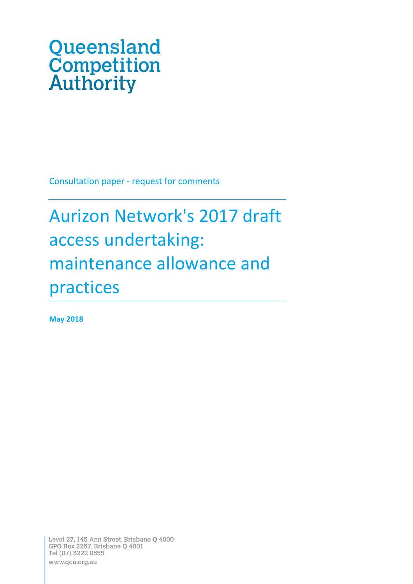# Queensland **Competition**<br>**Authority**

Consultation paper - request for comments

## Aurizon Network's 2017 draft access undertaking: maintenance allowance and practices

**May 2018**

Level 27, 145 Ann Street, Brisbane Q 4000 GPO Box 2257, Brisbane Q 4001 Tel (07) 3222 0555 www.qca.org.au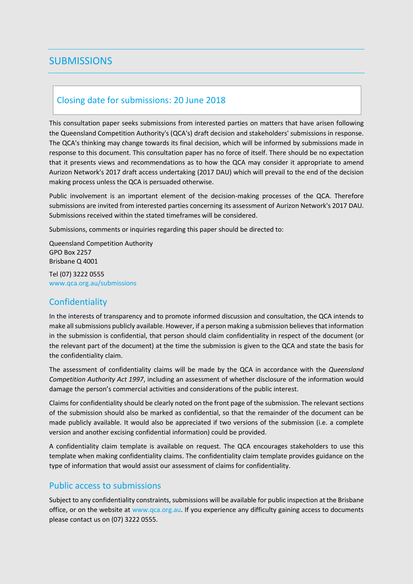## <span id="page-1-0"></span>**SUBMISSIONS**

## <span id="page-1-1"></span>Closing date for submissions: 20 June 2018

This consultation paper seeks submissions from interested parties on matters that have arisen following the Queensland Competition Authority's (QCA's) draft decision and stakeholders' submissions in response. The QCA's thinking may change towards its final decision, which will be informed by submissions made in response to this document. This consultation paper has no force of itself. There should be no expectation that it presents views and recommendations as to how the QCA may consider it appropriate to amend Aurizon Network's 2017 draft access undertaking (2017 DAU) which will prevail to the end of the decision making process unless the QCA is persuaded otherwise.

Public involvement is an important element of the decision-making processes of the QCA. Therefore submissions are invited from interested parties concerning its assessment of Aurizon Network's 2017 DAU. Submissions received within the stated timeframes will be considered.

Submissions, comments or inquiries regarding this paper should be directed to:

Queensland Competition Authority GPO Box 2257 Brisbane Q 4001

Tel (07) 3222 0555 www.qca.org.au/submissions

## <span id="page-1-2"></span>**Confidentiality**

In the interests of transparency and to promote informed discussion and consultation, the QCA intends to make all submissions publicly available. However, if a person making a submission believes that information in the submission is confidential, that person should claim confidentiality in respect of the document (or the relevant part of the document) at the time the submission is given to the QCA and state the basis for the confidentiality claim.

The assessment of confidentiality claims will be made by the QCA in accordance with the *Queensland Competition Authority Act 1997*, including an assessment of whether disclosure of the information would damage the person's commercial activities and considerations of the public interest.

Claims for confidentiality should be clearly noted on the front page of the submission. The relevant sections of the submission should also be marked as confidential, so that the remainder of the document can be made publicly available. It would also be appreciated if two versions of the submission (i.e. a complete version and another excising confidential information) could be provided.

A confidentiality claim template is available on request. The QCA encourages stakeholders to use this template when making confidentiality claims. The confidentiality claim template provides guidance on the type of information that would assist our assessment of claims for confidentiality.

## <span id="page-1-3"></span>Public access to submissions

Subject to any confidentiality constraints, submissions will be available for public inspection at the Brisbane office, or on the website a[t www.qca.org.au.](http://www.qca.org.au/) If you experience any difficulty gaining access to documents please contact us on (07) 3222 0555.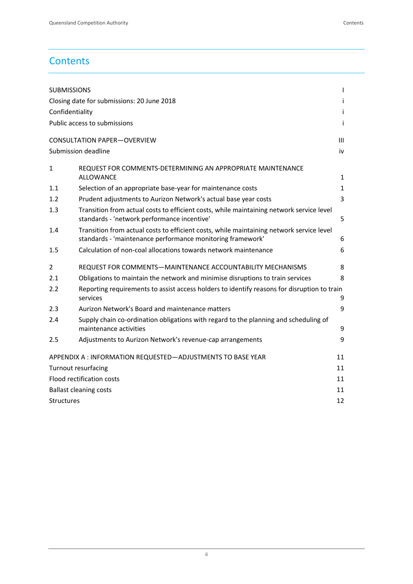## **Contents**

| <b>SUBMISSIONS</b><br>$\mathbf{I}$                                |                                                                                                                                                        |              |  |  |
|-------------------------------------------------------------------|--------------------------------------------------------------------------------------------------------------------------------------------------------|--------------|--|--|
| Closing date for submissions: 20 June 2018<br>Ť                   |                                                                                                                                                        |              |  |  |
| Confidentiality                                                   |                                                                                                                                                        |              |  |  |
| Public access to submissions<br>Ť                                 |                                                                                                                                                        |              |  |  |
|                                                                   |                                                                                                                                                        | Ш            |  |  |
|                                                                   | <b>CONSULTATION PAPER-OVERVIEW</b>                                                                                                                     |              |  |  |
|                                                                   | Submission deadline                                                                                                                                    | iv           |  |  |
| 1                                                                 | REQUEST FOR COMMENTS-DETERMINING AN APPROPRIATE MAINTENANCE<br>ALLOWANCE                                                                               | 1            |  |  |
| 1.1                                                               | Selection of an appropriate base-year for maintenance costs                                                                                            | $\mathbf{1}$ |  |  |
| 1.2                                                               | Prudent adjustments to Aurizon Network's actual base year costs                                                                                        | 3            |  |  |
| 1.3                                                               | Transition from actual costs to efficient costs, while maintaining network service level<br>standards - 'network performance incentive'                | 5            |  |  |
| 1.4                                                               | Transition from actual costs to efficient costs, while maintaining network service level<br>standards - 'maintenance performance monitoring framework' | 6            |  |  |
| 1.5                                                               | Calculation of non-coal allocations towards network maintenance                                                                                        | 6            |  |  |
| 2                                                                 | REQUEST FOR COMMENTS-MAINTENANCE ACCOUNTABILITY MECHANISMS                                                                                             | 8            |  |  |
| 2.1                                                               | Obligations to maintain the network and minimise disruptions to train services                                                                         | 8            |  |  |
| 2.2                                                               | Reporting requirements to assist access holders to identify reasons for disruption to train<br>services                                                | 9            |  |  |
| 2.3                                                               | Aurizon Network's Board and maintenance matters                                                                                                        | 9            |  |  |
| 2.4                                                               | Supply chain co-ordination obligations with regard to the planning and scheduling of<br>maintenance activities                                         | 9            |  |  |
| 2.5                                                               | Adjustments to Aurizon Network's revenue-cap arrangements                                                                                              | 9            |  |  |
| APPENDIX A : INFORMATION REQUESTED-ADJUSTMENTS TO BASE YEAR<br>11 |                                                                                                                                                        |              |  |  |
| 11<br><b>Turnout resurfacing</b>                                  |                                                                                                                                                        |              |  |  |
| Flood rectification costs<br>11                                   |                                                                                                                                                        |              |  |  |
| 11<br><b>Ballast cleaning costs</b>                               |                                                                                                                                                        |              |  |  |
| 12<br><b>Structures</b>                                           |                                                                                                                                                        |              |  |  |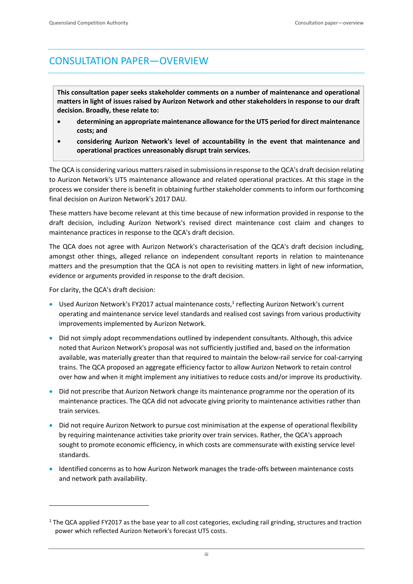## <span id="page-3-0"></span>CONSULTATION PAPER—OVERVIEW

**This consultation paper seeks stakeholder comments on a number of maintenance and operational matters in light of issues raised by Aurizon Network and other stakeholders in response to our draft decision. Broadly, these relate to:**

- **determining an appropriate maintenance allowance for the UT5 period for direct maintenance costs; and**
- **• considering Aurizon Network's level of accountability in the event that maintenance and operational practices unreasonably disrupt train services.**

The QCA is considering various matters raised in submissions in response to the QCA's draft decision relating to Aurizon Network's UT5 maintenance allowance and related operational practices. At this stage in the process we consider there is benefit in obtaining further stakeholder comments to inform our forthcoming final decision on Aurizon Network's 2017 DAU.

These matters have become relevant at this time because of new information provided in response to the draft decision, including Aurizon Network's revised direct maintenance cost claim and changes to maintenance practices in response to the QCA's draft decision.

The QCA does not agree with Aurizon Network's characterisation of the QCA's draft decision including, amongst other things, alleged reliance on independent consultant reports in relation to maintenance matters and the presumption that the QCA is not open to revisiting matters in light of new information, evidence or arguments provided in response to the draft decision.

For clarity, the QCA's draft decision:

- Used Aurizon Network's FY2017 actual maintenance costs,<sup>1</sup> reflecting Aurizon Network's current operating and maintenance service level standards and realised cost savings from various productivity improvements implemented by Aurizon Network.
- Did not simply adopt recommendations outlined by independent consultants. Although, this advice noted that Aurizon Network's proposal was not sufficiently justified and, based on the information available, was materially greater than that required to maintain the below-rail service for coal-carrying trains. The QCA proposed an aggregate efficiency factor to allow Aurizon Network to retain control over how and when it might implement any initiatives to reduce costs and/or improve its productivity.
- Did not prescribe that Aurizon Network change its maintenance programme nor the operation of its maintenance practices. The QCA did not advocate giving priority to maintenance activities rather than train services.
- Did not require Aurizon Network to pursue cost minimisation at the expense of operational flexibility by requiring maintenance activities take priority over train services. Rather, the QCA's approach sought to promote economic efficiency, in which costs are commensurate with existing service level standards.
- Identified concerns as to how Aurizon Network manages the trade-offs between maintenance costs and network path availability.

<sup>&</sup>lt;sup>1</sup> The QCA applied FY2017 as the base year to all cost categories, excluding rail grinding, structures and traction power which reflected Aurizon Network's forecast UT5 costs.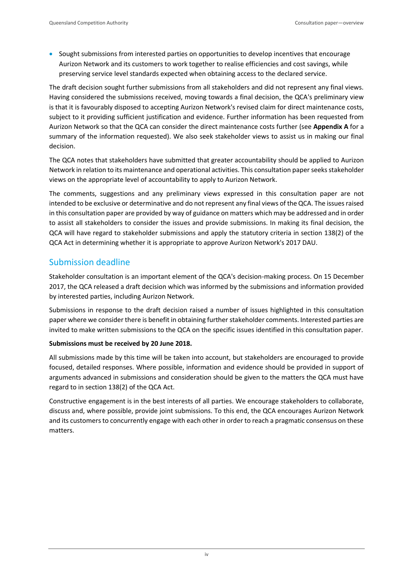• Sought submissions from interested parties on opportunities to develop incentives that encourage Aurizon Network and its customers to work together to realise efficiencies and cost savings, while preserving service level standards expected when obtaining access to the declared service.

The draft decision sought further submissions from all stakeholders and did not represent any final views. Having considered the submissions received, moving towards a final decision, the QCA's preliminary view is that it is favourably disposed to accepting Aurizon Network's revised claim for direct maintenance costs, subject to it providing sufficient justification and evidence. Further information has been requested from Aurizon Network so that the QCA can consider the direct maintenance costs further (see **Appendix A** for a summary of the information requested). We also seek stakeholder views to assist us in making our final decision.

The QCA notes that stakeholders have submitted that greater accountability should be applied to Aurizon Network in relation to its maintenance and operational activities. This consultation paper seeks stakeholder views on the appropriate level of accountability to apply to Aurizon Network.

The comments, suggestions and any preliminary views expressed in this consultation paper are not intended to be exclusive or determinative and do not represent any final views of the QCA. The issues raised in this consultation paper are provided by way of guidance on matters which may be addressed and in order to assist all stakeholders to consider the issues and provide submissions. In making its final decision, the QCA will have regard to stakeholder submissions and apply the statutory criteria in section 138(2) of the QCA Act in determining whether it is appropriate to approve Aurizon Network's 2017 DAU.

## <span id="page-4-0"></span>Submission deadline

Stakeholder consultation is an important element of the QCA's decision-making process. On 15 December 2017, the QCA released a draft decision which was informed by the submissions and information provided by interested parties, including Aurizon Network.

Submissions in response to the draft decision raised a number of issues highlighted in this consultation paper where we consider there is benefit in obtaining further stakeholder comments. Interested parties are invited to make written submissions to the QCA on the specific issues identified in this consultation paper.

## **Submissions must be received by 20 June 2018.**

All submissions made by this time will be taken into account, but stakeholders are encouraged to provide focused, detailed responses. Where possible, information and evidence should be provided in support of arguments advanced in submissions and consideration should be given to the matters the QCA must have regard to in section 138(2) of the QCA Act.

Constructive engagement is in the best interests of all parties. We encourage stakeholders to collaborate, discuss and, where possible, provide joint submissions. To this end, the QCA encourages Aurizon Network and its customers to concurrently engage with each other in order to reach a pragmatic consensus on these matters.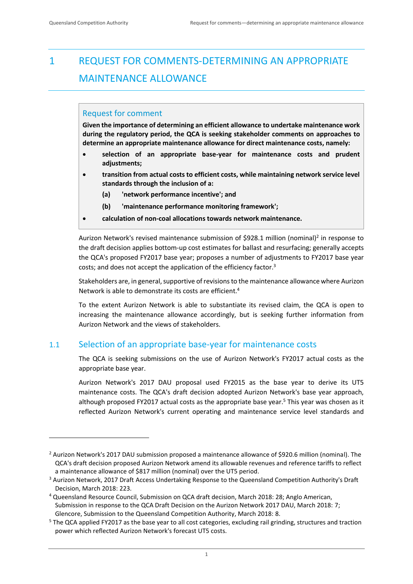$\overline{a}$ 

## <span id="page-5-0"></span>1 REQUEST FOR COMMENTS-DETERMINING AN APPROPRIATE MAINTENANCE ALLOWANCE

## Request for comment

**Given the importance of determining an efficient allowance to undertake maintenance work during the regulatory period, the QCA is seeking stakeholder comments on approaches to determine an appropriate maintenance allowance for direct maintenance costs, namely:**

- **selection of an appropriate base-year for maintenance costs and prudent adjustments;**
- **transition from actual costs to efficient costs, while maintaining network service level standards through the inclusion of a:**
	- **(a) 'network performance incentive'; and**
	- **(b) 'maintenance performance monitoring framework';**
- **calculation of non-coal allocations towards network maintenance.**

Aurizon Network's revised maintenance submission of \$928.1 million (nominal)<sup>2</sup> in response to the draft decision applies bottom-up cost estimates for ballast and resurfacing; generally accepts the QCA's proposed FY2017 base year; proposes a number of adjustments to FY2017 base year costs; and does not accept the application of the efficiency factor.<sup>3</sup>

Stakeholders are, in general, supportive of revisions to the maintenance allowance where Aurizon Network is able to demonstrate its costs are efficient.<sup>4</sup>

To the extent Aurizon Network is able to substantiate its revised claim, the QCA is open to increasing the maintenance allowance accordingly, but is seeking further information from Aurizon Network and the views of stakeholders.

## <span id="page-5-1"></span>1.1 Selection of an appropriate base-year for maintenance costs

The QCA is seeking submissions on the use of Aurizon Network's FY2017 actual costs as the appropriate base year.

Aurizon Network's 2017 DAU proposal used FY2015 as the base year to derive its UT5 maintenance costs. The QCA's draft decision adopted Aurizon Network's base year approach, although proposed FY2017 actual costs as the appropriate base year. <sup>5</sup> This year was chosen as it reflected Aurizon Network's current operating and maintenance service level standards and

<sup>2</sup> Aurizon Network's 2017 DAU submission proposed a maintenance allowance of \$920.6 million (nominal). The QCA's draft decision proposed Aurizon Network amend its allowable revenues and reference tariffs to reflect a maintenance allowance of \$817 million (nominal) over the UT5 period.

<sup>&</sup>lt;sup>3</sup> Aurizon Network, 2017 Draft Access Undertaking Response to the Queensland Competition Authority's Draft Decision, March 2018: 223.

<sup>4</sup> Queensland Resource Council, Submission on QCA draft decision, March 2018: 28; Anglo American, Submission in response to the QCA Draft Decision on the Aurizon Network 2017 DAU, March 2018: 7; Glencore, Submission to the Queensland Competition Authority, March 2018: 8.

<sup>&</sup>lt;sup>5</sup> The QCA applied FY2017 as the base year to all cost categories, excluding rail grinding, structures and traction power which reflected Aurizon Network's forecast UT5 costs.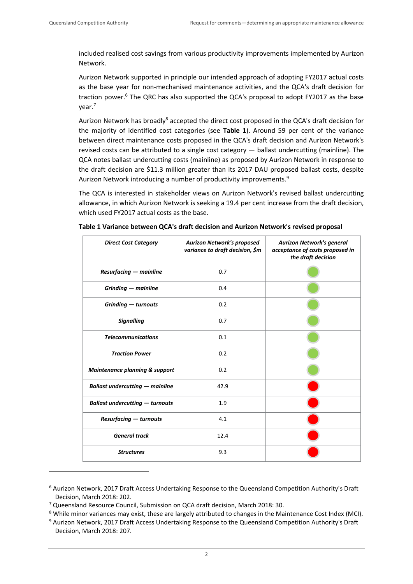included realised cost savings from various productivity improvements implemented by Aurizon Network.

Aurizon Network supported in principle our intended approach of adopting FY2017 actual costs as the base year for non-mechanised maintenance activities, and the QCA's draft decision for traction power. <sup>6</sup> The QRC has also supported the QCA's proposal to adopt FY2017 as the base year.<sup>7</sup>

Aurizon Network has broadly<sup>8</sup> accepted the direct cost proposed in the QCA's draft decision for the majority of identified cost categories (see **Table 1**). Around 59 per cent of the variance between direct maintenance costs proposed in the QCA's draft decision and Aurizon Network's revised costs can be attributed to a single cost category — ballast undercutting (mainline). The QCA notes ballast undercutting costs (mainline) as proposed by Aurizon Network in response to the draft decision are \$11.3 million greater than its 2017 DAU proposed ballast costs, despite Aurizon Network introducing a number of productivity improvements.<sup>9</sup>

The QCA is interested in stakeholder views on Aurizon Network's revised ballast undercutting allowance, in which Aurizon Network is seeking a 19.4 per cent increase from the draft decision, which used FY2017 actual costs as the base.

| <b>Direct Cost Category</b>               | <b>Aurizon Network's proposed</b><br>variance to draft decision, \$m | <b>Aurizon Network's general</b><br>acceptance of costs proposed in<br>the draft decision |
|-------------------------------------------|----------------------------------------------------------------------|-------------------------------------------------------------------------------------------|
| <b>Resurfacing - mainline</b>             | 0.7                                                                  |                                                                                           |
| $Grinding - mainline$                     | 0.4                                                                  |                                                                                           |
| Grinding - turnouts                       | 0.2                                                                  |                                                                                           |
| <b>Signalling</b>                         | 0.7                                                                  |                                                                                           |
| <b>Telecommunications</b>                 | 0.1                                                                  |                                                                                           |
| <b>Traction Power</b>                     | 0.2                                                                  |                                                                                           |
| <b>Maintenance planning &amp; support</b> | 0.2                                                                  |                                                                                           |
| <b>Ballast undercutting - mainline</b>    | 42.9                                                                 |                                                                                           |
| <b>Ballast undercutting - turnouts</b>    | 1.9                                                                  |                                                                                           |
| <b>Resurfacing - turnouts</b>             | 4.1                                                                  |                                                                                           |
| <b>General track</b>                      | 12.4                                                                 |                                                                                           |
| <b>Structures</b>                         | 9.3                                                                  |                                                                                           |

**Table 1 Variance between QCA's draft decision and Aurizon Network's revised proposal**

<sup>6</sup> Aurizon Network, 2017 Draft Access Undertaking Response to the Queensland Competition Authority's Draft Decision, March 2018: 202.

<sup>7</sup> Queensland Resource Council, Submission on QCA draft decision, March 2018: 30.

<sup>&</sup>lt;sup>8</sup> While minor variances may exist, these are largely attributed to changes in the Maintenance Cost Index (MCI).

<sup>9</sup> Aurizon Network, 2017 Draft Access Undertaking Response to the Queensland Competition Authority's Draft Decision, March 2018: 207.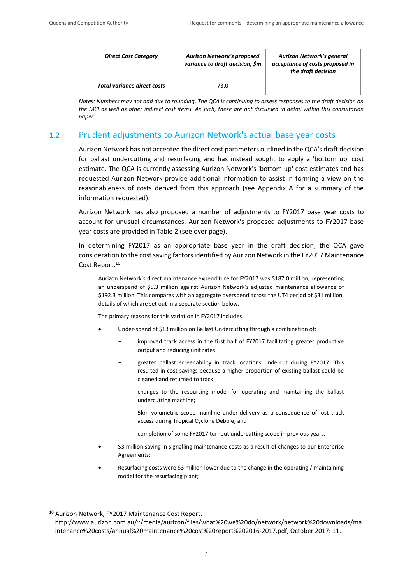$\overline{a}$ 

| <b>Direct Cost Category</b>        | <b>Aurizon Network's proposed</b><br>variance to draft decision, \$m | <b>Aurizon Network's general</b><br>acceptance of costs proposed in<br>the draft decision |
|------------------------------------|----------------------------------------------------------------------|-------------------------------------------------------------------------------------------|
| <b>Total variance direct costs</b> | 73.0                                                                 |                                                                                           |

*Notes: Numbers may not add due to rounding. The QCA is continuing to assess responses to the draft decision on the MCI as well as other indirect cost items. As such, these are not discussed in detail within this consultation paper.* 

## <span id="page-7-0"></span>1.2 Prudent adjustments to Aurizon Network's actual base year costs

Aurizon Network has not accepted the direct cost parameters outlined in the QCA's draft decision for ballast undercutting and resurfacing and has instead sought to apply a 'bottom up' cost estimate. The QCA is currently assessing Aurizon Network's 'bottom up' cost estimates and has requested Aurizon Network provide additional information to assist in forming a view on the reasonableness of costs derived from this approach (see Appendix A for a summary of the information requested).

Aurizon Network has also proposed a number of adjustments to FY2017 base year costs to account for unusual circumstances. Aurizon Network's proposed adjustments to FY2017 base year costs are provided in Table 2 (see over page).

In determining FY2017 as an appropriate base year in the draft decision, the QCA gave consideration to the cost saving factors identified by Aurizon Network in the FY2017 Maintenance Cost Report.<sup>10</sup>

Aurizon Network's direct maintenance expenditure for FY2017 was \$187.0 million, representing an underspend of \$5.3 million against Aurizon Network's adjusted maintenance allowance of \$192.3 million. This compares with an aggregate overspend across the UT4 period of \$31 million, details of which are set out in a separate section below.

The primary reasons for this variation in FY2017 includes:

- Under-spend of \$13 million on Ballast Undercutting through a combination of:
	- improved track access in the first half of FY2017 facilitating greater productive output and reducing unit rates
	- greater ballast screenability in track locations undercut during FY2017. This resulted in cost savings because a higher proportion of existing ballast could be cleaned and returned to track;
	- changes to the resourcing model for operating and maintaining the ballast undercutting machine;
	- 5km volumetric scope mainline under-delivery as a consequence of lost track access during Tropical Cyclone Debbie; and
	- completion of some FY2017 turnout undercutting scope in previous years.
- \$3 million saving in signalling maintenance costs as a result of changes to our Enterprise Agreements;
- Resurfacing costs were \$3 million lower due to the change in the operating / maintaining model for the resurfacing plant;

<sup>10</sup> Aurizon Network, FY2017 Maintenance Cost Report. http://www.aurizon.com.au/~/media/aurizon/files/what%20we%20do/network/network%20downloads/ma intenance%20costs/annual%20maintenance%20cost%20report%202016-2017.pdf, October 2017: 11.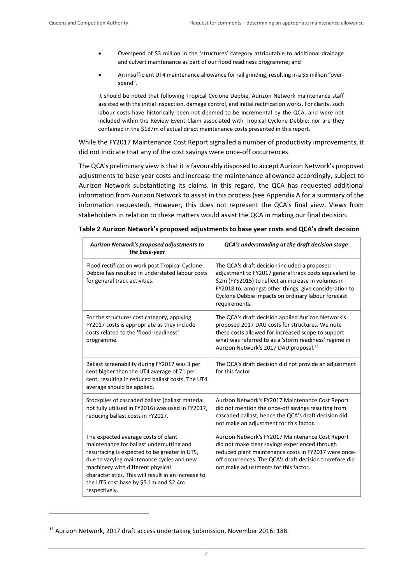- Overspend of \$3 million in the 'structures' category attributable to additional drainage and culvert maintenance as part of our flood readiness programme; and
- An insufficient UT4 maintenance allowance for rail grinding, resulting in a \$5 million "overspend".

It should be noted that following Tropical Cyclone Debbie, Aurizon Network maintenance staff assisted with the initial inspection, damage control, and initial rectification works. For clarity, such labour costs have historically been not deemed to be incremental by the QCA, and were not included within the Review Event Claim associated with Tropical Cyclone Debbie; nor are they contained in the \$187m of actual direct maintenance costs presented in this report.

While the FY2017 Maintenance Cost Report signalled a number of productivity improvements, it did not indicate that any of the cost savings were once-off occurrences.

The QCA's preliminary view is that it is favourably disposed to accept Aurizon Network's proposed adjustments to base year costs and increase the maintenance allowance accordingly, subject to Aurizon Network substantiating its claims. In this regard, the QCA has requested additional information from Aurizon Network to assist in this process (see [Appendix A](#page-14-0) for a summary of the information requested). However, this does not represent the QCA's final view. Views from stakeholders in relation to these matters would assist the QCA in making our final decision.

| Aurizon Network's proposed adjustments to<br>the base-year                                                                                                                                                                                                                                                                           | QCA's understanding at the draft decision stage                                                                                                                                                                                                                                                 |
|--------------------------------------------------------------------------------------------------------------------------------------------------------------------------------------------------------------------------------------------------------------------------------------------------------------------------------------|-------------------------------------------------------------------------------------------------------------------------------------------------------------------------------------------------------------------------------------------------------------------------------------------------|
| Flood rectification work post Tropical Cyclone<br>Debbie has resulted in understated labour costs<br>for general track activities.                                                                                                                                                                                                   | The QCA's draft decision included a proposed<br>adjustment to FY2017 general track costs equivalent to<br>\$2m (FY\$2015) to reflect an increase in volumes in<br>FY2018 to, amongst other things, give consideration to<br>Cyclone Debbie impacts on ordinary labour forecast<br>requirements. |
| For the structures cost category, applying<br>FY2017 costs is appropriate as they include<br>costs related to the 'flood-readiness'<br>programme.                                                                                                                                                                                    | The QCA's draft decision applied Aurizon Network's<br>proposed 2017 DAU costs for structures. We note<br>these costs allowed for increased scope to support<br>what was referred to as a 'storm readiness' regime in<br>Aurizon Network's 2017 DAU proposal. <sup>11</sup>                      |
| Ballast screenability during FY2017 was 3 per<br>cent higher than the UT4 average of 71 per<br>cent, resulting in reduced ballast costs. The UT4<br>average should be applied.                                                                                                                                                       | The QCA's draft decision did not provide an adjustment<br>for this factor.                                                                                                                                                                                                                      |
| Stockpiles of cascaded ballast (ballast material<br>not fully utilised in FY2016) was used in FY2017,<br>reducing ballast costs in FY2017.                                                                                                                                                                                           | Aurizon Network's FY2017 Maintenance Cost Report<br>did not mention the once-off savings resulting from<br>cascaded ballast, hence the QCA's draft decision did<br>not make an adjustment for this factor.                                                                                      |
| The expected average costs of plant<br>maintenance for ballast undercutting and<br>resurfacing is expected to be greater in UT5,<br>due to varying maintenance cycles and new<br>machinery with different physical<br>characteristics. This will result in an increase to<br>the UT5 cost base by \$5.1m and \$2.4m<br>respectively. | Aurizon Network's FY2017 Maintenance Cost Report<br>did not make clear savings experienced through<br>reduced plant maintenance costs in FY2017 were once-<br>off occurrences. The QCA's draft decision therefore did<br>not make adjustments for this factor.                                  |

<sup>&</sup>lt;sup>11</sup> Aurizon Network, 2017 draft access undertaking Submission, November 2016: 188.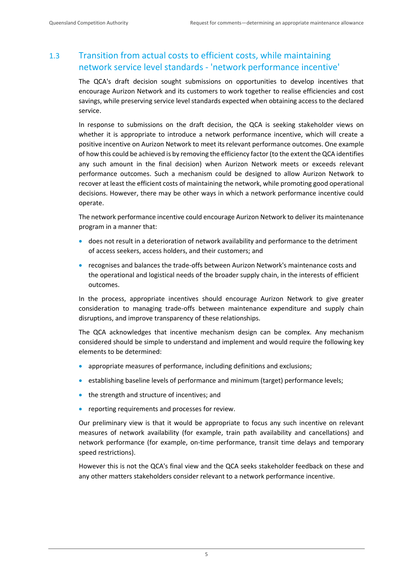## <span id="page-9-0"></span>1.3 Transition from actual costs to efficient costs, while maintaining network service level standards - 'network performance incentive'

The QCA's draft decision sought submissions on opportunities to develop incentives that encourage Aurizon Network and its customers to work together to realise efficiencies and cost savings, while preserving service level standards expected when obtaining access to the declared service.

In response to submissions on the draft decision, the QCA is seeking stakeholder views on whether it is appropriate to introduce a network performance incentive, which will create a positive incentive on Aurizon Network to meet its relevant performance outcomes. One example of how this could be achieved is by removing the efficiency factor (to the extent the QCA identifies any such amount in the final decision) when Aurizon Network meets or exceeds relevant performance outcomes. Such a mechanism could be designed to allow Aurizon Network to recover at least the efficient costs of maintaining the network, while promoting good operational decisions. However, there may be other ways in which a network performance incentive could operate.

The network performance incentive could encourage Aurizon Network to deliver its maintenance program in a manner that:

- does not result in a deterioration of network availability and performance to the detriment of access seekers, access holders, and their customers; and
- recognises and balances the trade-offs between Aurizon Network's maintenance costs and the operational and logistical needs of the broader supply chain, in the interests of efficient outcomes.

In the process, appropriate incentives should encourage Aurizon Network to give greater consideration to managing trade-offs between maintenance expenditure and supply chain disruptions, and improve transparency of these relationships.

The QCA acknowledges that incentive mechanism design can be complex. Any mechanism considered should be simple to understand and implement and would require the following key elements to be determined:

- appropriate measures of performance, including definitions and exclusions;
- establishing baseline levels of performance and minimum (target) performance levels;
- the strength and structure of incentives; and
- reporting requirements and processes for review.

Our preliminary view is that it would be appropriate to focus any such incentive on relevant measures of network availability (for example, train path availability and cancellations) and network performance (for example, on-time performance, transit time delays and temporary speed restrictions).

However this is not the QCA's final view and the QCA seeks stakeholder feedback on these and any other matters stakeholders consider relevant to a network performance incentive.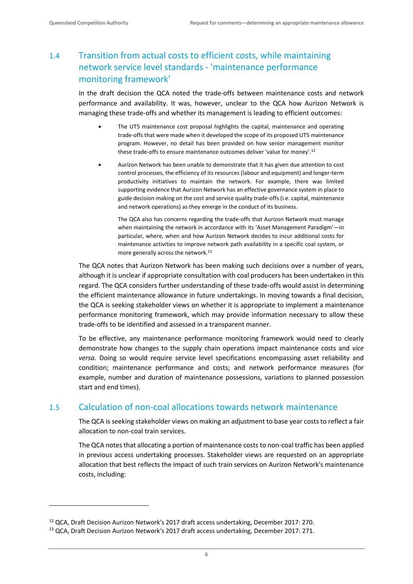$\overline{a}$ 

## <span id="page-10-0"></span>1.4 Transition from actual costs to efficient costs, while maintaining network service level standards - 'maintenance performance monitoring framework'

In the draft decision the QCA noted the trade-offs between maintenance costs and network performance and availability. It was, however, unclear to the QCA how Aurizon Network is managing these trade-offs and whether its management is leading to efficient outcomes:

- The UT5 maintenance cost proposal highlights the capital, maintenance and operating trade-offs that were made when it developed the scope of its proposed UT5 maintenance program. However, no detail has been provided on how senior management monitor these trade-offs to ensure maintenance outcomes deliver 'value for money'.<sup>12</sup>
- Aurizon Network has been unable to demonstrate that it has given due attention to cost control processes, the efficiency of its resources (labour and equipment) and longer-term productivity initiatives to maintain the network. For example, there was limited supporting evidence that Aurizon Network has an effective governance system in place to guide decision-making on the cost and service quality trade-offs (i.e. capital, maintenance and network operations) as they emerge in the conduct of its business.

The QCA also has concerns regarding the trade-offs that Aurizon Network must manage when maintaining the network in accordance with its 'Asset Management Paradigm'—in particular, where, when and how Aurizon Network decides to incur additional costs for maintenance activities to improve network path availability in a specific coal system, or more generally across the network.<sup>13</sup>

The QCA notes that Aurizon Network has been making such decisions over a number of years, although it is unclear if appropriate consultation with coal producers has been undertaken in this regard. The QCA considers further understanding of these trade-offs would assist in determining the efficient maintenance allowance in future undertakings. In moving towards a final decision, the QCA is seeking stakeholder views on whether it is appropriate to implement a maintenance performance monitoring framework, which may provide information necessary to allow these trade-offs to be identified and assessed in a transparent manner.

To be effective, any maintenance performance monitoring framework would need to clearly demonstrate how changes to the supply chain operations impact maintenance costs and *vice versa*. Doing so would require service level specifications encompassing asset reliability and condition; maintenance performance and costs; and network performance measures (for example, number and duration of maintenance possessions, variations to planned possession start and end times).

## <span id="page-10-1"></span>1.5 Calculation of non-coal allocations towards network maintenance

The QCA is seeking stakeholder views on making an adjustment to base year costs to reflect a fair allocation to non-coal train services.

The QCA notes that allocating a portion of maintenance costs to non-coal traffic has been applied in previous access undertaking processes. Stakeholder views are requested on an appropriate allocation that best reflects the impact of such train services on Aurizon Network's maintenance costs, including:

<sup>&</sup>lt;sup>12</sup> QCA, Draft Decision Aurizon Network's 2017 draft access undertaking, December 2017: 270.

<sup>&</sup>lt;sup>13</sup> QCA, Draft Decision Aurizon Network's 2017 draft access undertaking, December 2017: 271.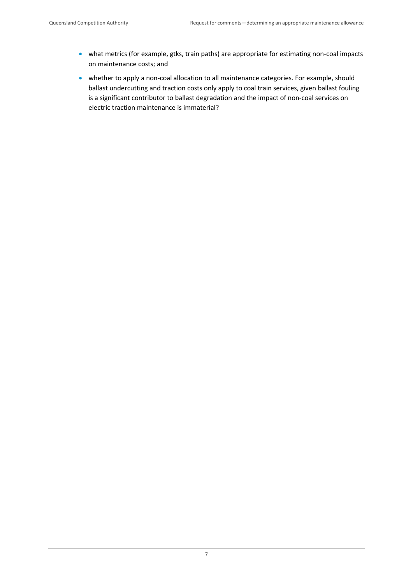- what metrics (for example, gtks, train paths) are appropriate for estimating non-coal impacts on maintenance costs; and
- whether to apply a non-coal allocation to all maintenance categories. For example, should ballast undercutting and traction costs only apply to coal train services, given ballast fouling is a significant contributor to ballast degradation and the impact of non-coal services on electric traction maintenance is immaterial?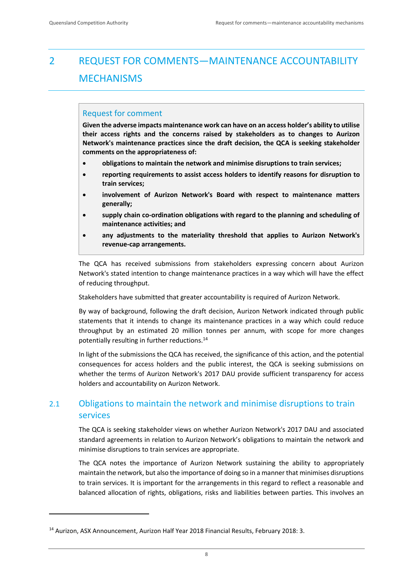## <span id="page-12-0"></span>2 REQUEST FOR COMMENTS—MAINTENANCE ACCOUNTABILITY **MECHANISMS**

## Request for comment

**Given the adverse impacts maintenance work can have on an access holder's ability to utilise their access rights and the concerns raised by stakeholders as to changes to Aurizon Network's maintenance practices since the draft decision, the QCA is seeking stakeholder comments on the appropriateness of:**

- **obligations to maintain the network and minimise disruptions to train services;**
- **reporting requirements to assist access holders to identify reasons for disruption to train services;**
- **involvement of Aurizon Network's Board with respect to maintenance matters generally;**
- **supply chain co-ordination obligations with regard to the planning and scheduling of maintenance activities; and**
- **any adjustments to the materiality threshold that applies to Aurizon Network's revenue-cap arrangements.**

The QCA has received submissions from stakeholders expressing concern about Aurizon Network's stated intention to change maintenance practices in a way which will have the effect of reducing throughput.

Stakeholders have submitted that greater accountability is required of Aurizon Network.

By way of background, following the draft decision, Aurizon Network indicated through public statements that it intends to change its maintenance practices in a way which could reduce throughput by an estimated 20 million tonnes per annum, with scope for more changes potentially resulting in further reductions.<sup>14</sup>

In light of the submissions the QCA has received, the significance of this action, and the potential consequences for access holders and the public interest, the QCA is seeking submissions on whether the terms of Aurizon Network's 2017 DAU provide sufficient transparency for access holders and accountability on Aurizon Network.

## <span id="page-12-1"></span>2.1 Obligations to maintain the network and minimise disruptions to train services

The QCA is seeking stakeholder views on whether Aurizon Network's 2017 DAU and associated standard agreements in relation to Aurizon Network's obligations to maintain the network and minimise disruptions to train services are appropriate.

The QCA notes the importance of Aurizon Network sustaining the ability to appropriately maintain the network, but also the importance of doing so in a manner that minimises disruptions to train services. It is important for the arrangements in this regard to reflect a reasonable and balanced allocation of rights, obligations, risks and liabilities between parties. This involves an

<sup>&</sup>lt;sup>14</sup> Aurizon, ASX Announcement, Aurizon Half Year 2018 Financial Results, February 2018: 3.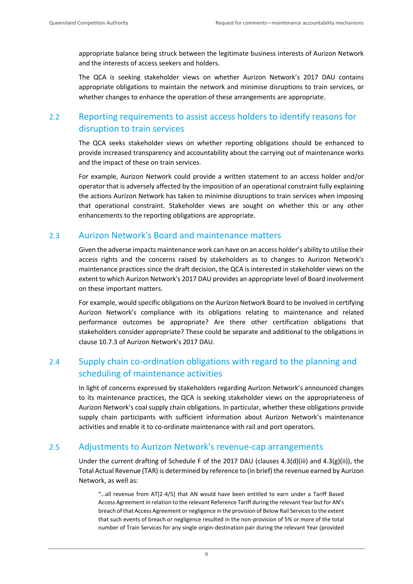appropriate balance being struck between the legitimate business interests of Aurizon Network and the interests of access seekers and holders.

The QCA is seeking stakeholder views on whether Aurizon Network's 2017 DAU contains appropriate obligations to maintain the network and minimise disruptions to train services, or whether changes to enhance the operation of these arrangements are appropriate.

## <span id="page-13-0"></span>2.2 Reporting requirements to assist access holders to identify reasons for disruption to train services

The QCA seeks stakeholder views on whether reporting obligations should be enhanced to provide increased transparency and accountability about the carrying out of maintenance works and the impact of these on train services.

For example, Aurizon Network could provide a written statement to an access holder and/or operator that is adversely affected by the imposition of an operational constraint fully explaining the actions Aurizon Network has taken to minimise disruptions to train services when imposing that operational constraint. Stakeholder views are sought on whether this or any other enhancements to the reporting obligations are appropriate.

## <span id="page-13-1"></span>2.3 Aurizon Network's Board and maintenance matters

Given the adverse impacts maintenance work can have on an access holder's ability to utilise their access rights and the concerns raised by stakeholders as to changes to Aurizon Network's maintenance practices since the draft decision, the QCA is interested in stakeholder views on the extent to which Aurizon Network's 2017 DAU provides an appropriate level of Board involvement on these important matters.

For example, would specific obligations on the Aurizon Network Board to be involved in certifying Aurizon Network's compliance with its obligations relating to maintenance and related performance outcomes be appropriate? Are there other certification obligations that stakeholders consider appropriate? These could be separate and additional to the obligations in clause 10.7.3 of Aurizon Network's 2017 DAU.

## <span id="page-13-2"></span>2.4 Supply chain co-ordination obligations with regard to the planning and scheduling of maintenance activities

In light of concerns expressed by stakeholders regarding Aurizon Network's announced changes to its maintenance practices, the QCA is seeking stakeholder views on the appropriateness of Aurizon Network's coal supply chain obligations. In particular, whether these obligations provide supply chain participants with sufficient information about Aurizon Network's maintenance activities and enable it to co-ordinate maintenance with rail and port operators.

## <span id="page-13-3"></span>2.5 Adjustments to Aurizon Network's revenue-cap arrangements

Under the current drafting of Schedule F of the 2017 DAU (clauses 4.3(d)(iii) and 4.3(g)(ii)), the Total Actual Revenue (TAR) is determined by reference to (in brief) the revenue earned by Aurizon Network, as well as:

"…all revenue from AT[2-4/5] that AN would have been entitled to earn under a Tariff Based Access Agreement in relation to the relevant Reference Tariff during the relevant Year but for AN's breach of that Access Agreement or negligence in the provision of Below Rail Services to the extent that such events of breach or negligence resulted in the non-provision of 5% or more of the total number of Train Services for any single origin-destination pair during the relevant Year (provided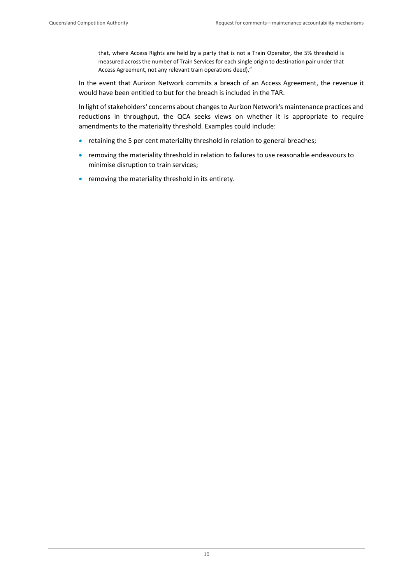that, where Access Rights are held by a party that is not a Train Operator, the 5% threshold is measured across the number of Train Services for each single origin to destination pair under that Access Agreement, not any relevant train operations deed),"

In the event that Aurizon Network commits a breach of an Access Agreement, the revenue it would have been entitled to but for the breach is included in the TAR.

In light of stakeholders' concerns about changes to Aurizon Network's maintenance practices and reductions in throughput, the QCA seeks views on whether it is appropriate to require amendments to the materiality threshold. Examples could include:

- retaining the 5 per cent materiality threshold in relation to general breaches;
- removing the materiality threshold in relation to failures to use reasonable endeavours to minimise disruption to train services;
- <span id="page-14-0"></span>• removing the materiality threshold in its entirety.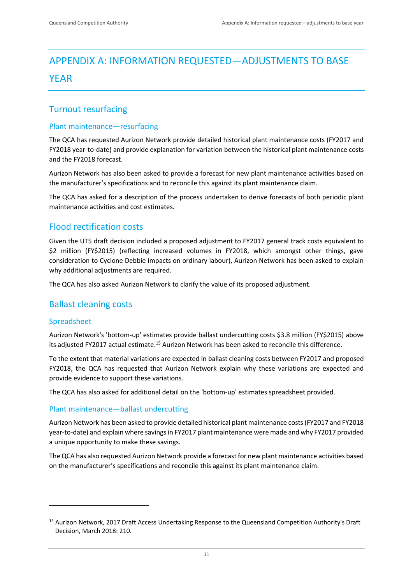## <span id="page-15-0"></span>APPENDIX A: INFORMATION REQUESTED—ADJUSTMENTS TO BASE YEAR

## <span id="page-15-1"></span>Turnout resurfacing

#### Plant maintenance—resurfacing

The QCA has requested Aurizon Network provide detailed historical plant maintenance costs (FY2017 and FY2018 year-to-date) and provide explanation for variation between the historical plant maintenance costs and the FY2018 forecast.

Aurizon Network has also been asked to provide a forecast for new plant maintenance activities based on the manufacturer's specifications and to reconcile this against its plant maintenance claim.

The QCA has asked for a description of the process undertaken to derive forecasts of both periodic plant maintenance activities and cost estimates.

## <span id="page-15-2"></span>Flood rectification costs

Given the UT5 draft decision included a proposed adjustment to FY2017 general track costs equivalent to \$2 million (FY\$2015) (reflecting increased volumes in FY2018, which amongst other things, gave consideration to Cyclone Debbie impacts on ordinary labour), Aurizon Network has been asked to explain why additional adjustments are required.

The QCA has also asked Aurizon Network to clarify the value of its proposed adjustment.

## <span id="page-15-3"></span>Ballast cleaning costs

## Spreadsheet

 $\overline{a}$ 

Aurizon Network's 'bottom-up' estimates provide ballast undercutting costs \$3.8 million (FY\$2015) above its adjusted FY2017 actual estimate.<sup>15</sup> Aurizon Network has been asked to reconcile this difference.

To the extent that material variations are expected in ballast cleaning costs between FY2017 and proposed FY2018, the QCA has requested that Aurizon Network explain why these variations are expected and provide evidence to support these variations.

The QCA has also asked for additional detail on the 'bottom-up' estimates spreadsheet provided.

## Plant maintenance—ballast undercutting

Aurizon Network has been asked to provide detailed historical plant maintenance costs (FY2017 and FY2018 year-to-date) and explain where savings in FY2017 plant maintenance were made and why FY2017 provided a unique opportunity to make these savings.

The QCA has also requested Aurizon Network provide a forecast for new plant maintenance activities based on the manufacturer's specifications and reconcile this against its plant maintenance claim.

<sup>&</sup>lt;sup>15</sup> Aurizon Network, 2017 Draft Access Undertaking Response to the Queensland Competition Authority's Draft Decision, March 2018: 210.